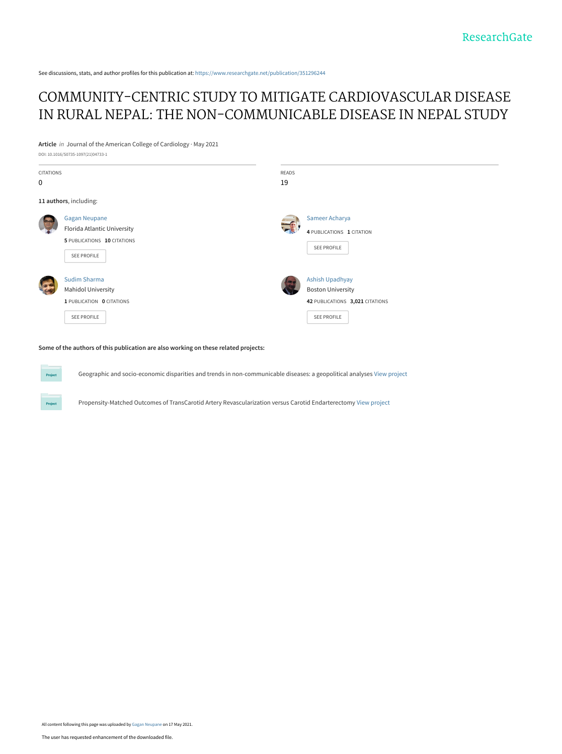See discussions, stats, and author profiles for this publication at: [https://www.researchgate.net/publication/351296244](https://www.researchgate.net/publication/351296244_COMMUNITY-CENTRIC_STUDY_TO_MITIGATE_CARDIOVASCULAR_DISEASE_IN_RURAL_NEPAL_THE_NON-COMMUNICABLE_DISEASE_IN_NEPAL_STUDY?enrichId=rgreq-14f53501e336d0b1f622a6ab49547404-XXX&enrichSource=Y292ZXJQYWdlOzM1MTI5NjI0NDtBUzoxMDI0Mjk4NjYzODIxMzEyQDE2MjEyMjMyNDAxMDE%3D&el=1_x_2&_esc=publicationCoverPdf)

## [COMMUNITY-CENTRIC STUDY TO MITIGATE CARDIOVASCULAR DISEASE](https://www.researchgate.net/publication/351296244_COMMUNITY-CENTRIC_STUDY_TO_MITIGATE_CARDIOVASCULAR_DISEASE_IN_RURAL_NEPAL_THE_NON-COMMUNICABLE_DISEASE_IN_NEPAL_STUDY?enrichId=rgreq-14f53501e336d0b1f622a6ab49547404-XXX&enrichSource=Y292ZXJQYWdlOzM1MTI5NjI0NDtBUzoxMDI0Mjk4NjYzODIxMzEyQDE2MjEyMjMyNDAxMDE%3D&el=1_x_3&_esc=publicationCoverPdf) IN RURAL NEPAL: THE NON-COMMUNICABLE DISEASE IN NEPAL STUDY

**Article** in Journal of the American College of Cardiology · May 2021 DOI: 10.1016/S0735-1097(21)04733-1

| <b>CITATIONS</b> |                             | READS |                                 |  |
|------------------|-----------------------------|-------|---------------------------------|--|
| $\mathbf 0$      |                             | 19    |                                 |  |
|                  | 11 authors, including:      |       |                                 |  |
|                  | <b>Gagan Neupane</b>        |       | Sameer Acharya                  |  |
|                  | Florida Atlantic University |       | 4 PUBLICATIONS 1 CITATION       |  |
|                  | 5 PUBLICATIONS 10 CITATIONS |       | <b>SEE PROFILE</b>              |  |
|                  | <b>SEE PROFILE</b>          |       |                                 |  |
|                  | <b>Sudim Sharma</b>         |       | <b>Ashish Upadhyay</b>          |  |
|                  | <b>Mahidol University</b>   |       | <b>Boston University</b>        |  |
|                  | 1 PUBLICATION 0 CITATIONS   |       | 42 PUBLICATIONS 3,021 CITATIONS |  |
|                  | <b>SEE PROFILE</b>          |       | SEE PROFILE                     |  |
|                  |                             |       |                                 |  |

**Some of the authors of this publication are also working on these related projects:**

Project

Geographic and socio-economic disparities and trends in non-communicable diseases: a geopolitical analyses [View project](https://www.researchgate.net/project/Geographic-and-socio-economic-disparities-and-trends-in-non-communicable-diseases-a-geopolitical-analyses?enrichId=rgreq-14f53501e336d0b1f622a6ab49547404-XXX&enrichSource=Y292ZXJQYWdlOzM1MTI5NjI0NDtBUzoxMDI0Mjk4NjYzODIxMzEyQDE2MjEyMjMyNDAxMDE%3D&el=1_x_9&_esc=publicationCoverPdf)

Propensity-Matched Outcomes of TransCarotid Artery Revascularization versus Carotid Endarterectomy [View project](https://www.researchgate.net/project/Propensity-Matched-Outcomes-of-TransCarotid-Artery-Revascularization-versus-Carotid-Endarterectomy?enrichId=rgreq-14f53501e336d0b1f622a6ab49547404-XXX&enrichSource=Y292ZXJQYWdlOzM1MTI5NjI0NDtBUzoxMDI0Mjk4NjYzODIxMzEyQDE2MjEyMjMyNDAxMDE%3D&el=1_x_9&_esc=publicationCoverPdf)